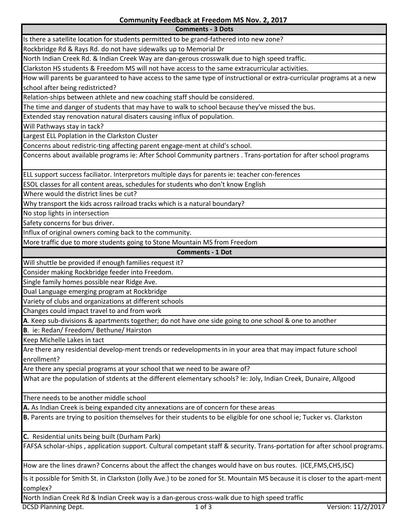**Comments - 3 Dots**

Is there a satellite location for students permitted to be grand-fathered into new zone? Rockbridge Rd & Rays Rd. do not have sidewalks up to Memorial Dr North Indian Creek Rd. & Indian Creek Way are dan-gerous crosswalk due to high speed traffic. Clarkston HS students & Freedom MS will not have access to the same extracurricular activities. How will parents be guaranteed to have access to the same type of instructional or extra-curricular programs at a new school after being redistricted? Relation-ships between athlete and new coaching staff should be considered. The time and danger of students that may have to walk to school because they've missed the bus. Extended stay renovation natural disaters causing influx of population. Will Pathways stay in tack? Largest ELL Poplation in the Clarkston Cluster Concerns about redistric-ting affecting parent engage-ment at child's school. Concerns about available programs ie: After School Community partners . Trans-portation for after school programs ELL support success faciliator. Interpretors multiple days for parents ie: teacher con-ferences ESOL classes for all content areas, schedules for students who don't know English Where would the district lines be cut? Why transport the kids across railroad tracks which is a natural boundary? No stop lights in intersection Safety concerns for bus driver. Influx of original owners coming back to the community. More traffic due to more students going to Stone Mountain MS from Freedom **Comments - 1 Dot** Will shuttle be provided if enough families request it? Consider making Rockbridge feeder into Freedom. Single family homes possible near Ridge Ave. Dual Language emerging program at Rockbridge Variety of clubs and organizations at different schools Changes could impact travel to and from work **A**. Keep sub-divisions & apartments together; do not have one side going to one school & one to another **B**. ie: Redan/ Freedom/ Bethune/ Hairston Keep Michelle Lakes in tact Are there any residential develop-ment trends or redevelopments in in your area that may impact future school enrollment? Are there any special programs at your school that we need to be aware of? What are the population of stdents at the different elementary schools? Ie: Joly, Indian Creek, Dunaire, Allgood There needs to be another middle school **A.** As Indian Creek is being expanded city annexations are of concern for these areas **B.** Parents are trying to position themselves for their students to be eligible for one school ie; Tucker vs. Clarkston **C.** Residential units being built (Durham Park) FAFSA scholar-ships , application support. Cultural competant staff & security. Trans-portation for after school programs. How are the lines drawn? Concerns about the affect the changes would have on bus routes. (ICE,FMS,CHS,ISC) Is it possible for Smith St. in Clarkston (Jolly Ave.) to be zoned for St. Mountain MS because it is closer to the apart-ment complex? North Indian Creek Rd & Indian Creek way is a dan-gerous cross-walk due to high speed traffic DCSD Planning Dept. 1 of 3 Version: 11/2/2017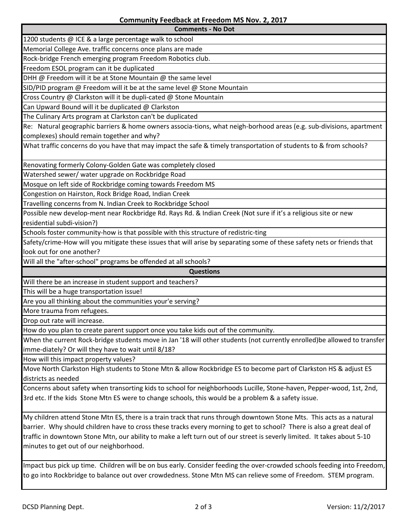**Comments - No Dot**

1200 students @ ICE & a large percentage walk to school Memorial College Ave. traffic concerns once plans are made

Rock-bridge French emerging program Freedom Robotics club.

Freedom ESOL program can it be duplicated

DHH @ Freedom will it be at Stone Mountain @ the same level

SID/PID program  $\omega$  Freedom will it be at the same level  $\omega$  Stone Mountain

Cross Country @ Clarkston will it be dupli-cated @ Stone Mountain

Can Upward Bound will it be duplicated @ Clarkston

The Culinary Arts program at Clarkston can't be duplicated

Re: Natural geographic barriers & home owners associa-tions, what neigh-borhood areas (e.g. sub-divisions, apartment complexes) should remain together and why?

What traffic concerns do you have that may impact the safe & timely transportation of students to & from schools?

Renovating formerly Colony-Golden Gate was completely closed

Watershed sewer/ water upgrade on Rockbridge Road

Mosque on left side of Rockbridge coming towards Freedom MS

Congestion on Hairston, Rock Bridge Road, Indian Creek

Travelling concerns from N. Indian Creek to Rockbridge School

Possible new develop-ment near Rockbridge Rd. Rays Rd. & Indian Creek (Not sure if it's a religious site or new residential subdi-vision?)

Schools foster community-how is that possible with this structure of redistric-ting

Safety/crime-How will you mitigate these issues that will arise by separating some of these safety nets or friends that look out for one another?

Will all the "after-school" programs be offended at all schools?

**Questions**

Will there be an increase in student support and teachers?

This will be a huge transportation issue!

Are you all thinking about the communities your'e serving?

More trauma from refugees.

Drop out rate will increase.

How do you plan to create parent support once you take kids out of the community.

When the current Rock-bridge students move in Jan '18 will other students (not currently enrolled)be allowed to transfer imme-diately? Or will they have to wait until 8/18?

How will this impact property values?

Move North Clarkston High students to Stone Mtn & allow Rockbridge ES to become part of Clarkston HS & adjust ES districts as needed

Concerns about safety when transorting kids to school for neighborhoods Lucille, Stone-haven, Pepper-wood, 1st, 2nd, 3rd etc. If the kids Stone Mtn ES were to change schools, this would be a problem & a safety issue.

My children attend Stone Mtn ES, there is a train track that runs through downtown Stone Mts. This acts as a natural barrier. Why should children have to cross these tracks every morning to get to school? There is also a great deal of traffic in downtown Stone Mtn, our ability to make a left turn out of our street is severly limited. It takes about 5-10 minutes to get out of our neighborhood.

Impact bus pick up time. Children will be on bus early. Consider feeding the over-crowded schools feeding into Freedom, to go into Rockbridge to balance out over crowdedness. Stone Mtn MS can relieve some of Freedom. STEM program.